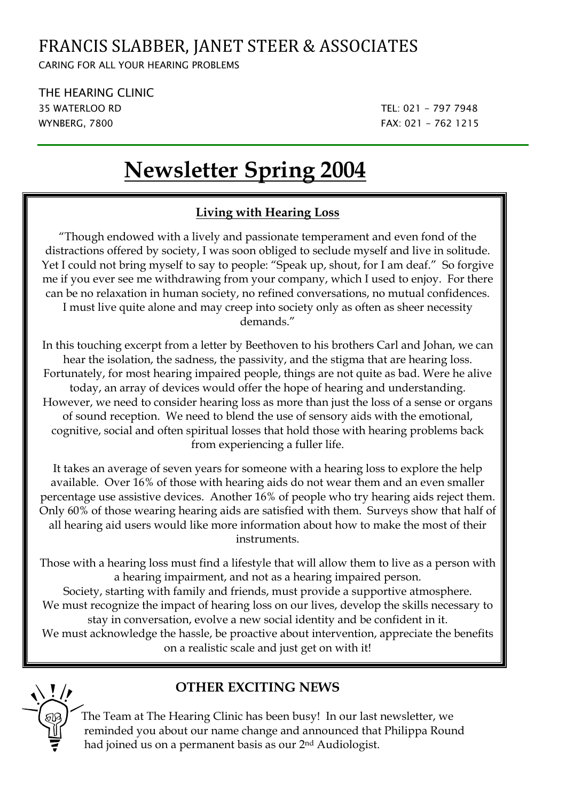## FRANCIS SLABBER, JANET STEER & ASSOCIATES

CARING FOR ALL YOUR HEARING PROBLEMS

THE HEARING CLINIC 35 WATERLOO RD TEL: 021 - 797 7948 WYNBERG, 7800 FAX: 021 - 762 1215

# **Newsletter Spring 2004**

### **Living with Hearing Loss**

"Though endowed with a lively and passionate temperament and even fond of the distractions offered by society, I was soon obliged to seclude myself and live in solitude. Yet I could not bring myself to say to people: "Speak up, shout, for I am deaf." So forgive me if you ever see me withdrawing from your company, which I used to enjoy. For there can be no relaxation in human society, no refined conversations, no mutual confidences. I must live quite alone and may creep into society only as often as sheer necessity demands."

In this touching excerpt from a letter by Beethoven to his brothers Carl and Johan, we can hear the isolation, the sadness, the passivity, and the stigma that are hearing loss. Fortunately, for most hearing impaired people, things are not quite as bad. Were he alive today, an array of devices would offer the hope of hearing and understanding. However, we need to consider hearing loss as more than just the loss of a sense or organs of sound reception. We need to blend the use of sensory aids with the emotional, cognitive, social and often spiritual losses that hold those with hearing problems back from experiencing a fuller life.

It takes an average of seven years for someone with a hearing loss to explore the help available. Over 16% of those with hearing aids do not wear them and an even smaller percentage use assistive devices. Another 16% of people who try hearing aids reject them. Only 60% of those wearing hearing aids are satisfied with them. Surveys show that half of all hearing aid users would like more information about how to make the most of their instruments.

Those with a hearing loss must find a lifestyle that will allow them to live as a person with a hearing impairment, and not as a hearing impaired person.

Society, starting with family and friends, must provide a supportive atmosphere. We must recognize the impact of hearing loss on our lives, develop the skills necessary to stay in conversation, evolve a new social identity and be confident in it. We must acknowledge the hassle, be proactive about intervention, appreciate the benefits

on a realistic scale and just get on with it!



### **T** // **OTHER EXCITING NEWS**

The Team at The Hearing Clinic has been busy! In our last newsletter, we reminded you about our name change and announced that Philippa Round had joined us on a permanent basis as our 2nd Audiologist.